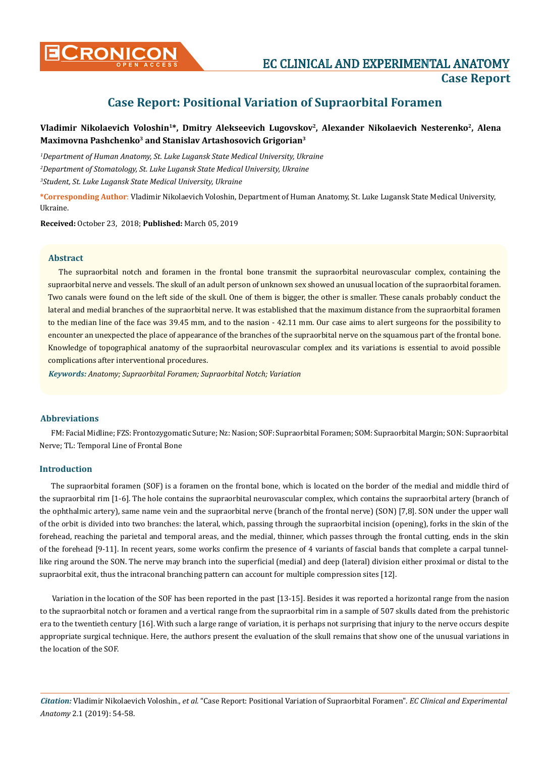

# **Case Report: Positional Variation of Supraorbital Foramen**

## Vladimir Nikolaevich Voloshin<sup>1\*</sup>, Dmitry Alekseevich Lugovskov<sup>2</sup>, Alexander Nikolaevich Nesterenko<sup>2</sup>, Alena **Maximovna Pashchenko3 and Stanislav Artashosovich Grigorian3**

*1 Department of Human Anatomy, St. Luke Lugansk State Medical University, Ukraine 2 Department of Stomatology, St. Luke Lugansk State Medical University, Ukraine 3 Student, St. Luke Lugansk State Medical University, Ukraine*

**\*Corresponding Author**: Vladimir Nikolaevich Voloshin, Department of Human Anatomy, St. Luke Lugansk State Medical University, Ukraine.

**Received:** October 23, 2018; **Published:** March 05, 2019

#### **Abstract**

The supraorbital notch and foramen in the frontal bone transmit the supraorbital neurovascular complex, containing the supraorbital nerve and vessels. The skull of an adult person of unknown sex showed an unusual location of the supraorbital foramen. Two canals were found on the left side of the skull. One of them is bigger, the other is smaller. These canals probably conduct the lateral and medial branches of the supraorbital nerve. It was established that the maximum distance from the supraorbital foramen to the median line of the face was 39.45 mm, and to the nasion - 42.11 mm. Our case aims to alert surgeons for the possibility to encounter an unexpected the place of appearance of the branches of the supraorbital nerve on the squamous part of the frontal bone. Knowledge of topographical anatomy of the supraorbital neurovascular complex and its variations is essential to avoid possible complications after interventional procedures.

*Keywords: Anatomy; Supraorbital Foramen; Supraorbital Notch; Variation*

#### **Abbreviations**

FM: Facial Midline; FZS: Frontozygomatic Suture; Nz: Nasion; SOF: Supraorbital Foramen; SOM: Supraorbital Margin; SON: Supraorbital Nerve; TL: Temporal Line of Frontal Bone

#### **Introduction**

The supraorbital foramen (SOF) is a foramen on the frontal bone, which is located on the border of the medial and middle third of the supraorbital rim [1-6]. The hole contains the supraorbital neurovascular complex, which contains the supraorbital artery (branch of the ophthalmic artery), same name vein and the supraorbital nerve (branch of the frontal nerve) (SON) [7,8]. SON under the upper wall of the orbit is divided into two branches: the lateral, which, passing through the supraorbital incision (opening), forks in the skin of the forehead, reaching the parietal and temporal areas, and the medial, thinner, which passes through the frontal cutting, ends in the skin of the forehead [9-11]. In recent years, some works confirm the presence of 4 variants of fascial bands that complete a carpal tunnellike ring around the SON. The nerve may branch into the superficial (medial) and deep (lateral) division either proximal or distal to the supraorbital exit, thus the intraconal branching pattern can account for multiple compression sites [12].

Variation in the location of the SOF has been reported in the past [13-15]. Besides it was reported a horizontal range from the nasion to the supraorbital notch or foramen and a vertical range from the supraorbital rim in a sample of 507 skulls dated from the prehistoric era to the twentieth century [16]. With such a large range of variation, it is perhaps not surprising that injury to the nerve occurs despite appropriate surgical technique. Here, the authors present the evaluation of the skull remains that show one of the unusual variations in the location of the SOF.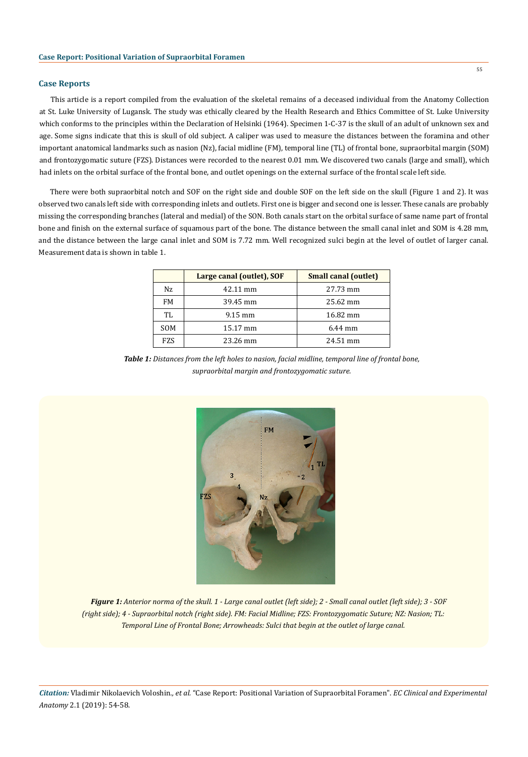#### **Case Reports**

This article is a report compiled from the evaluation of the skeletal remains of a deceased individual from the Anatomy Collection at St. Luke University of Lugansk. The study was ethically cleared by the Health Research and Ethics Committee of St. Luke University which conforms to the principles within the Declaration of Helsinki (1964). Specimen 1-C-37 is the skull of an adult of unknown sex and age. Some signs indicate that this is skull of old subject. A caliper was used to measure the distances between the foramina and other important anatomical landmarks such as nasion (Nz), facial midline (FM), temporal line (TL) of frontal bone, supraorbital margin (SOM) and frontozygomatic suture (FZS). Distances were recorded to the nearest 0.01 mm. We discovered two canals (large and small), which had inlets on the orbital surface of the frontal bone, and outlet openings on the external surface of the frontal scale left side.

There were both supraorbital notch and SOF on the right side and double SOF on the left side on the skull (Figure 1 and 2). It was observed two canals left side with corresponding inlets and outlets. First one is bigger and second one is lesser. These canals are probably missing the corresponding branches (lateral and medial) of the SON. Both canals start on the orbital surface of same name part of frontal bone and finish on the external surface of squamous part of the bone. The distance between the small canal inlet and SOM is 4.28 mm, and the distance between the large canal inlet and SOM is 7.72 mm. Well recognized sulci begin at the level of outlet of larger canal. Measurement data is shown in table 1.

|            | Large canal (outlet), SOF | <b>Small canal (outlet)</b> |
|------------|---------------------------|-----------------------------|
| Nz.        | 42.11 mm                  | 27.73 mm                    |
| FM         | 39.45 mm                  | 25.62 mm                    |
| TL.        | $9.15 \text{ mm}$         | 16.82 mm                    |
| <b>SOM</b> | 15.17 mm                  | $6.44$ mm                   |
| <b>FZS</b> | 23.26 mm                  | 24.51 mm                    |

*Table 1: Distances from the left holes to nasion, facial midline, temporal line of frontal bone, supraorbital margin and frontozygomatic suture.*



*Figure 1: Anterior norma of the skull. 1 - Large canal outlet (left side); 2 - Small canal outlet (left side); 3 - SOF (right side); 4 - Supraorbital notch (right side). FM: Facial Midline; FZS: Frontozygomatic Suture; NZ: Nasion; TL: Temporal Line of Frontal Bone; Arrowheads: Sulci that begin at the outlet of large canal.*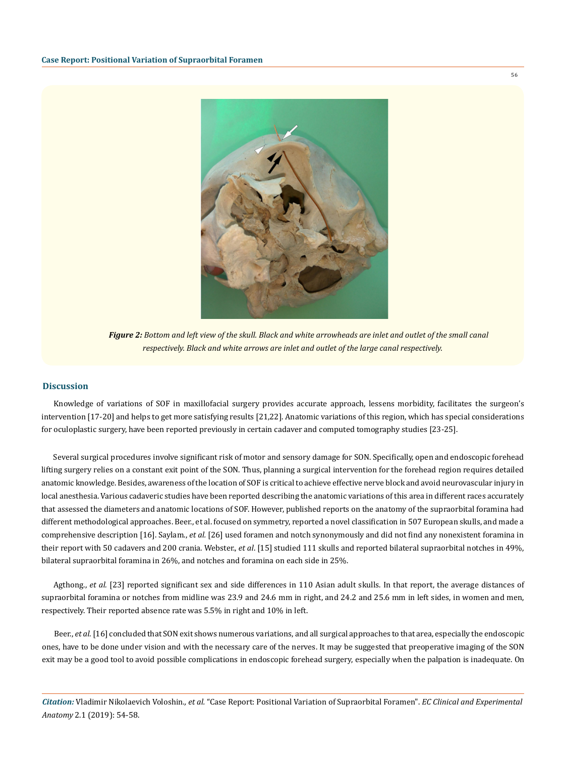

*Figure 2: Bottom and left view of the skull. Black and white arrowheads are inlet and outlet of the small canal respectively. Black and white arrows are inlet and outlet of the large canal respectively.*

#### **Discussion**

Knowledge of variations of SOF in maxillofacial surgery provides accurate approach, lessens morbidity, facilitates the surgeon's intervention [17-20] and helps to get more satisfying results [21,22]. Anatomic variations of this region, which has special considerations for oculoplastic surgery, have been reported previously in certain cadaver and computed tomography studies [23-25].

Several surgical procedures involve significant risk of motor and sensory damage for SON. Specifically, open and endoscopic forehead lifting surgery relies on a constant exit point of the SON. Thus, planning a surgical intervention for the forehead region requires detailed anatomic knowledge. Besides, awareness of the location of SOF is critical to achieve effective nerve block and avoid neurovascular injury in local anesthesia. Various cadaveric studies have been reported describing the anatomic variations of this area in different races accurately that assessed the diameters and anatomic locations of SOF. However, published reports on the anatomy of the supraorbital foramina had different methodological approaches. Beer., et al. focused on symmetry, reported a novel classification in 507 European skulls, and made a comprehensive description [16]. Saylam., *et al.* [26] used foramen and notch synonymously and did not find any nonexistent foramina in their report with 50 cadavers and 200 crania. Webster., *et al*. [15] studied 111 skulls and reported bilateral supraorbital notches in 49%, bilateral supraorbital foramina in 26%, and notches and foramina on each side in 25%.

Agthong., et al. [23] reported significant sex and side differences in 110 Asian adult skulls. In that report, the average distances of supraorbital foramina or notches from midline was 23.9 and 24.6 mm in right, and 24.2 and 25.6 mm in left sides, in women and men, respectively. Their reported absence rate was 5.5% in right and 10% in left.

Beer., *et al*. [16] concluded that SON exit shows numerous variations, and all surgical approaches to that area, especially the endoscopic ones, have to be done under vision and with the necessary care of the nerves. It may be suggested that preoperative imaging of the SON exit may be a good tool to avoid possible complications in endoscopic forehead surgery, especially when the palpation is inadequate. On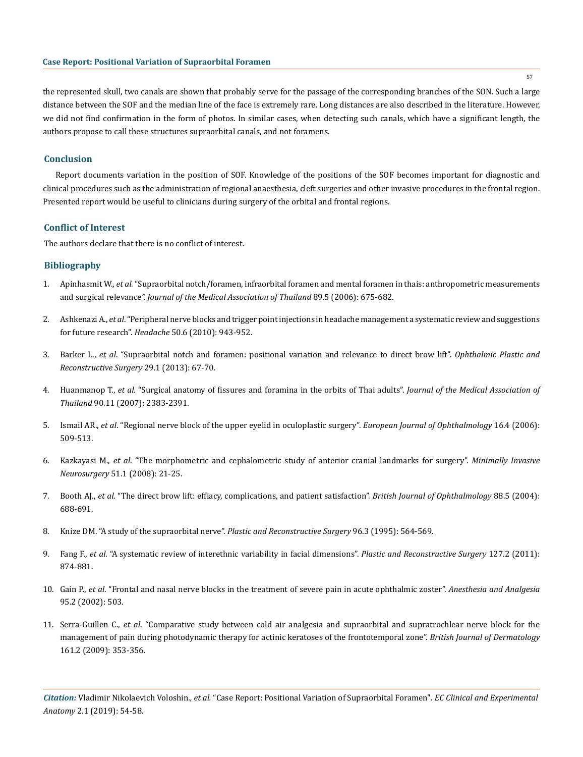the represented skull, two canals are shown that probably serve for the passage of the corresponding branches of the SON. Such a large distance between the SOF and the median line of the face is extremely rare. Long distances are also described in the literature. However, we did not find confirmation in the form of photos. In similar cases, when detecting such canals, which have a significant length, the authors propose to call these structures supraorbital canals, and not foramens.

#### **Conclusion**

Report documents variation in the position of SOF. Knowledge of the positions of the SOF becomes important for diagnostic and clinical procedures such as the administration of regional anaesthesia, cleft surgeries and other invasive procedures in the frontal region. Presented report would be useful to clinicians during surgery of the orbital and frontal regions.

#### **Conflict of Interest**

The authors declare that there is no conflict of interest.

### **Bibliography**

- 1. Apinhasmit W., *et al*[. "Supraorbital notch/foramen, infraorbital foramen and mental foramen in thais: anthropometric measurements](https://www.ncbi.nlm.nih.gov/pubmed/16756055)  and surgical relevance*[". Journal of the Medical Association of Thailand](https://www.ncbi.nlm.nih.gov/pubmed/16756055)* 89.5 (2006): 675-682.
- 2. Ashkenazi A., *et al*[. "Peripheral nerve blocks and trigger point injections in headache management a systematic review and suggestions](https://www.ncbi.nlm.nih.gov/pubmed/20487039) for future research". *Headache* [50.6 \(2010\): 943-952.](https://www.ncbi.nlm.nih.gov/pubmed/20487039)
- 3. Barker L., *et al*[. "Supraorbital notch and foramen: positional variation and relevance to direct brow lift".](https://www.ncbi.nlm.nih.gov/pubmed/23299811) *Ophthalmic Plastic and [Reconstructive Surgery](https://www.ncbi.nlm.nih.gov/pubmed/23299811)* 29.1 (2013): 67-70.
- 4. Huanmanop T., *et al*[. "Surgical anatomy of fissures and foramina in the orbits of Thai adults".](https://www.ncbi.nlm.nih.gov/pubmed/18181324) *Journal of the Medical Association of Thailand* [90.11 \(2007\): 2383-2391.](https://www.ncbi.nlm.nih.gov/pubmed/18181324)
- 5. Ismail AR., *et al*[. "Regional nerve block of the upper eyelid in oculoplastic surgery".](https://www.ncbi.nlm.nih.gov/pubmed/16952086) *European Journal of Ophthalmology* 16.4 (2006): [509-513.](https://www.ncbi.nlm.nih.gov/pubmed/16952086)
- 6. Kazkayasi M., *et al*[. "The morphometric and cephalometric study of anterior cranial landmarks for surgery".](https://www.ncbi.nlm.nih.gov/pubmed/18306127) *Minimally Invasive Neurosurgery* [51.1 \(2008\): 21-25.](https://www.ncbi.nlm.nih.gov/pubmed/18306127)
- 7. Booth AJ., *et al*[. "The direct brow lift: effiacy, complications, and patient satisfaction".](https://www.ncbi.nlm.nih.gov/pmc/articles/PMC1772146/) *British Journal of Ophthalmology* 88.5 (2004): [688-691.](https://www.ncbi.nlm.nih.gov/pmc/articles/PMC1772146/)
- 8. [Knize DM. "A study of the supraorbital nerve".](https://www.ncbi.nlm.nih.gov/pubmed/7638280) *Plastic and Reconstructive Surgery* 96.3 (1995): 564-569.
- 9. Fang F., *et al*[. "A systematic review of interethnic variability in facial dimensions".](https://www.ncbi.nlm.nih.gov/pubmed/21285791) *Plastic and Reconstructive Surgery* 127.2 (2011): [874-881.](https://www.ncbi.nlm.nih.gov/pubmed/21285791)
- 10. Gain P., *et al*[. "Frontal and nasal nerve blocks in the treatment of severe pain in acute ophthalmic zoster".](https://www.ncbi.nlm.nih.gov/pubmed/12145092) *Anesthesia and Analgesia*  [95.2 \(2002\): 503.](https://www.ncbi.nlm.nih.gov/pubmed/12145092)
- 11. Serra-Guillen C., *et al*[. "Comparative study between cold air analgesia and supraorbital and supratrochlear nerve block for the](https://www.ncbi.nlm.nih.gov/pubmed/19438468) [management of pain during photodynamic therapy for actinic keratoses of the frontotemporal zone".](https://www.ncbi.nlm.nih.gov/pubmed/19438468) *British Journal of Dermatology*  [161.2 \(2009\): 353-356.](https://www.ncbi.nlm.nih.gov/pubmed/19438468)